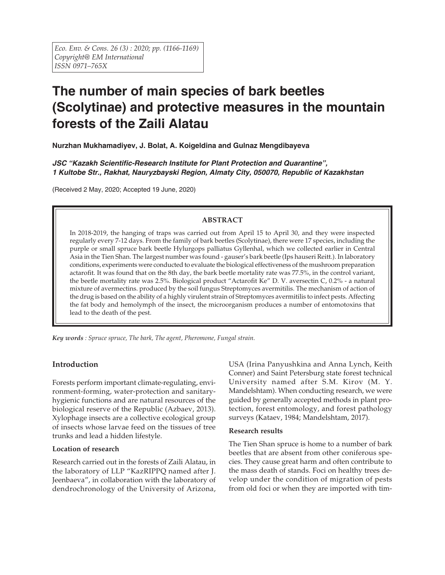# **The number of main species of bark beetles (Scolytinae) and protective measures in the mountain forests of the Zaili Alatau**

**Nurzhan Mukhamadiyev, J. Bolat, A. Koigeldina and Gulnaz Mengdibayeva**

*JSC "Kazakh Scientific-Research Institute for Plant Protection and Quarantine", 1 Kultobe Str., Rakhat, Nauryzbayski Region, Almaty City, 050070, Republic of Kazakhstan*

(Received 2 May, 2020; Accepted 19 June, 2020)

# **ABSTRACT**

In 2018-2019, the hanging of traps was carried out from April 15 to April 30, and they were inspected regularly every 7-12 days. From the family of bark beetles (Scolytinae), there were 17 species, including the purple or small spruce bark beetle Hylurgops palliatus Gyllenhal, which we collected earlier in Central Asia in the Tien Shan. The largest number was found - gauser's bark beetle (Ips hauseri Reitt.). In laboratory conditions, experiments were conducted to evaluate the biological effectiveness of the mushroom preparation actarofit. It was found that on the 8th day, the bark beetle mortality rate was 77.5%, in the control variant, the beetle mortality rate was 2.5%. Biological product "Actarofit Ke" D. V. aversectin C, 0.2% - a natural mixture of avermectins. produced by the soil fungus Streptomyces avermitilis. The mechanism of action of the drug is based on the ability of a highly virulent strain of Streptomyces avermitilis to infect pests. Affecting the fat body and hemolymph of the insect, the microorganism produces a number of entomotoxins that lead to the death of the pest.

*Key words : Spruce spruce, The bark, The agent, Pheromone, Fungal strain.*

# **Introduction**

Forests perform important climate-regulating, environment-forming, water-protection and sanitaryhygienic functions and are natural resources of the biological reserve of the Republic (Azbaev, 2013). Xylophage insects are a collective ecological group of insects whose larvae feed on the tissues of tree trunks and lead a hidden lifestyle.

## **Location of research**

Research carried out in the forests of Zaili Alatau, in the laboratory of LLP "KazRIPPQ named after J. Jeenbaeva", in collaboration with the laboratory of dendrochronology of the University of Arizona,

USA (Irina Panyushkina and Anna Lynch, Keith Conner) and Saint Petersburg state forest technical University named after S.M. Kirov (M. Y. Mandelshtam). When conducting research, we were guided by generally accepted methods in plant protection, forest entomology, and forest pathology surveys (Kataev, 1984; Mandelshtam, 2017).

## **Research results**

The Tien Shan spruce is home to a number of bark beetles that are absent from other coniferous species. They cause great harm and often contribute to the mass death of stands. Foci on healthy trees develop under the condition of migration of pests from old foci or when they are imported with tim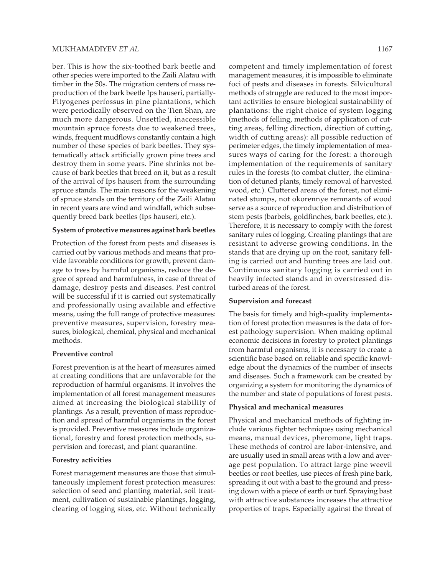ber. This is how the six-toothed bark beetle and other species were imported to the Zaili Alatau with timber in the 50s. The migration centers of mass reproduction of the bark beetle Ips hauseri, partially-Pityogenes perfossus in pine plantations, which were periodically observed on the Tien Shan, are much more dangerous. Unsettled, inaccessible mountain spruce forests due to weakened trees, winds, frequent mudflows constantly contain a high number of these species of bark beetles. They systematically attack artificially grown pine trees and destroy them in some years. Pine shrinks not because of bark beetles that breed on it, but as a result of the arrival of Ips hauseri from the surrounding spruce stands. The main reasons for the weakening of spruce stands on the territory of the Zaili Alatau in recent years are wind and windfall, which subsequently breed bark beetles (Ips hauseri, etc.).

#### **System of protective measures against bark beetles**

Protection of the forest from pests and diseases is carried out by various methods and means that provide favorable conditions for growth, prevent damage to trees by harmful organisms, reduce the degree of spread and harmfulness, in case of threat of damage, destroy pests and diseases. Pest control will be successful if it is carried out systematically and professionally using available and effective means, using the full range of protective measures: preventive measures, supervision, forestry measures, biological, chemical, physical and mechanical methods.

#### **Preventive control**

Forest prevention is at the heart of measures aimed at creating conditions that are unfavorable for the reproduction of harmful organisms. It involves the implementation of all forest management measures aimed at increasing the biological stability of plantings. As a result, prevention of mass reproduction and spread of harmful organisms in the forest is provided. Preventive measures include organizational, forestry and forest protection methods, supervision and forecast, and plant quarantine.

#### **Forestry activities**

Forest management measures are those that simultaneously implement forest protection measures: selection of seed and planting material, soil treatment, cultivation of sustainable plantings, logging, clearing of logging sites, etc. Without technically competent and timely implementation of forest management measures, it is impossible to eliminate foci of pests and diseases in forests. Silvicultural methods of struggle are reduced to the most important activities to ensure biological sustainability of plantations: the right choice of system logging (methods of felling, methods of application of cutting areas, felling direction, direction of cutting, width of cutting areas): all possible reduction of perimeter edges, the timely implementation of measures ways of caring for the forest: a thorough implementation of the requirements of sanitary rules in the forests (to combat clutter, the elimination of detuned plants, timely removal of harvested wood, etc.). Cluttered areas of the forest, not eliminated stumps, not okorennye remnants of wood serve as a source of reproduction and distribution of stem pests (barbels, goldfinches, bark beetles, etc.). Therefore, it is necessary to comply with the forest sanitary rules of logging. Creating plantings that are resistant to adverse growing conditions. In the stands that are drying up on the root, sanitary fell-

ing is carried out and hunting trees are laid out. Continuous sanitary logging is carried out in heavily infected stands and in overstressed disturbed areas of the forest.

## **Supervision and forecast**

The basis for timely and high-quality implementation of forest protection measures is the data of forest pathology supervision. When making optimal economic decisions in forestry to protect plantings from harmful organisms, it is necessary to create a scientific base based on reliable and specific knowledge about the dynamics of the number of insects and diseases. Such a framework can be created by organizing a system for monitoring the dynamics of the number and state of populations of forest pests.

### **Physical and mechanical measures**

Physical and mechanical methods of fighting include various fighter techniques using mechanical means, manual devices, pheromone, light traps. These methods of control are labor-intensive, and are usually used in small areas with a low and average pest population. To attract large pine weevil beetles or root beetles, use pieces of fresh pine bark, spreading it out with a bast to the ground and pressing down with a piece of earth or turf. Spraying bast with attractive substances increases the attractive properties of traps. Especially against the threat of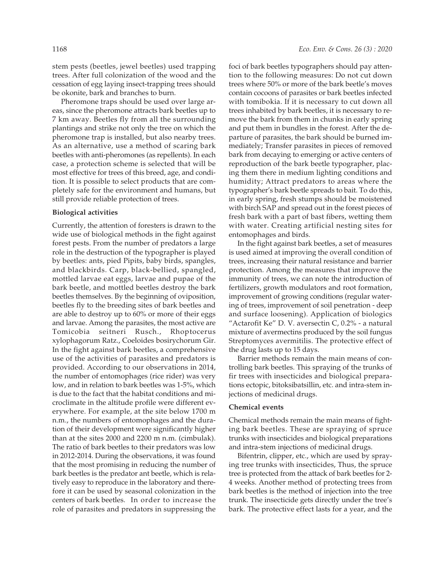stem pests (beetles, jewel beetles) used trapping trees. After full colonization of the wood and the cessation of egg laying insect-trapping trees should be okonite, bark and branches to burn.

Pheromone traps should be used over large areas, since the pheromone attracts bark beetles up to 7 km away. Beetles fly from all the surrounding plantings and strike not only the tree on which the pheromone trap is installed, but also nearby trees. As an alternative, use a method of scaring bark beetles with anti-pheromones (as repellents). In each case, a protection scheme is selected that will be most effective for trees of this breed, age, and condition. It is possible to select products that are completely safe for the environment and humans, but still provide reliable protection of trees.

#### **Biological activities**

Currently, the attention of foresters is drawn to the wide use of biological methods in the fight against forest pests. From the number of predators a large role in the destruction of the typographer is played by beetles: ants, pied Pipits, baby birds, spangles, and blackbirds. Carp, black-bellied, spangled, mottled larvae eat eggs, larvae and pupae of the bark beetle, and mottled beetles destroy the bark beetles themselves. By the beginning of oviposition, beetles fly to the breeding sites of bark beetles and are able to destroy up to 60% or more of their eggs and larvae. Among the parasites, the most active are Tomicobia seitneri Rusch., Rhoptocerus xylophagorum Ratz., Coeloides bosirychorum Gir. In the fight against bark beetles, a comprehensive use of the activities of parasites and predators is provided. According to our observations in 2014, the number of entomophages (rice rider) was very low, and in relation to bark beetles was 1-5%, which is due to the fact that the habitat conditions and microclimate in the altitude profile were different everywhere. For example, at the site below 1700 m n.m., the numbers of entomophages and the duration of their development were significantly higher than at the sites 2000 and 2200 m n.m. (cimbulak). The ratio of bark beetles to their predators was low in 2012-2014. During the observations, it was found that the most promising in reducing the number of bark beetles is the predator ant beetle, which is relatively easy to reproduce in the laboratory and therefore it can be used by seasonal colonization in the centers of bark beetles. In order to increase the role of parasites and predators in suppressing the

foci of bark beetles typographers should pay attention to the following measures: Do not cut down trees where 50% or more of the bark beetle's moves contain cocoons of parasites or bark beetles infected with tomibokia. If it is necessary to cut down all trees inhabited by bark beetles, it is necessary to remove the bark from them in chunks in early spring and put them in bundles in the forest. After the departure of parasites, the bark should be burned immediately; Transfer parasites in pieces of removed bark from decaying to emerging or active centers of reproduction of the bark beetle typographer, placing them there in medium lighting conditions and humidity; Attract predators to areas where the typographer's bark beetle spreads to bait. To do this, in early spring, fresh stumps should be moistened with birch SAP and spread out in the forest pieces of fresh bark with a part of bast fibers, wetting them with water. Creating artificial nesting sites for entomophages and birds.

In the fight against bark beetles, a set of measures is used aimed at improving the overall condition of trees, increasing their natural resistance and barrier protection. Among the measures that improve the immunity of trees, we can note the introduction of fertilizers, growth modulators and root formation, improvement of growing conditions (regular watering of trees, improvement of soil penetration - deep and surface loosening). Application of biologics "Actarofit Ke" D. V. aversectin C, 0.2% - a natural mixture of avermectins produced by the soil fungus Streptomyces avermitilis. The protective effect of the drug lasts up to 15 days.

Barrier methods remain the main means of controlling bark beetles. This spraying of the trunks of fir trees with insecticides and biological preparations ectopic, bitoksibatsillin, etc. and intra-stem injections of medicinal drugs.

## **Chemical events**

Chemical methods remain the main means of fighting bark beetles. These are spraying of spruce trunks with insecticides and biological preparations and intra-stem injections of medicinal drugs.

Bifentrin, clipper, etc., which are used by spraying tree trunks with insecticides, Thus, the spruce tree is protected from the attack of bark beetles for 2- 4 weeks. Another method of protecting trees from bark beetles is the method of injection into the tree trunk. The insecticide gets directly under the tree's bark. The protective effect lasts for a year, and the